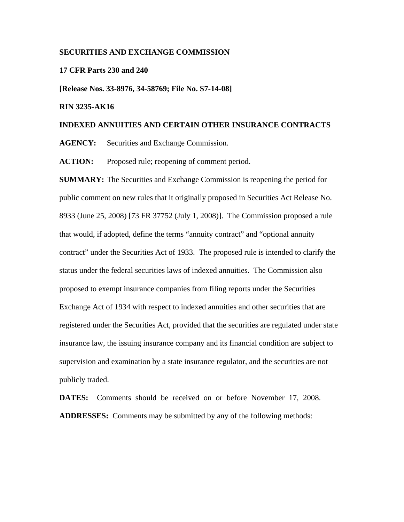# **SECURITIES AND EXCHANGE COMMISSION**

## **17 CFR Parts 230 and 240**

**[Release Nos. 33-8976, 34-58769; File No. S7-14-08]** 

### **RIN 3235-AK16**

# **INDEXED ANNUITIES AND CERTAIN OTHER INSURANCE CONTRACTS**

**AGENCY:** Securities and Exchange Commission.

ACTION: Proposed rule; reopening of comment period.

**SUMMARY:** The Securities and Exchange Commission is reopening the period for public comment on new rules that it originally proposed in Securities Act Release No. 8933 (June 25, 2008) [73 FR 37752 (July 1, 2008)]. The Commission proposed a rule that would, if adopted, define the terms "annuity contract" and "optional annuity contract" under the Securities Act of 1933. The proposed rule is intended to clarify the status under the federal securities laws of indexed annuities. The Commission also proposed to exempt insurance companies from filing reports under the Securities Exchange Act of 1934 with respect to indexed annuities and other securities that are registered under the Securities Act, provided that the securities are regulated under state insurance law, the issuing insurance company and its financial condition are subject to supervision and examination by a state insurance regulator, and the securities are not publicly traded.

**DATES:** Comments should be received on or before November 17, 2008. **ADDRESSES:** Comments may be submitted by any of the following methods: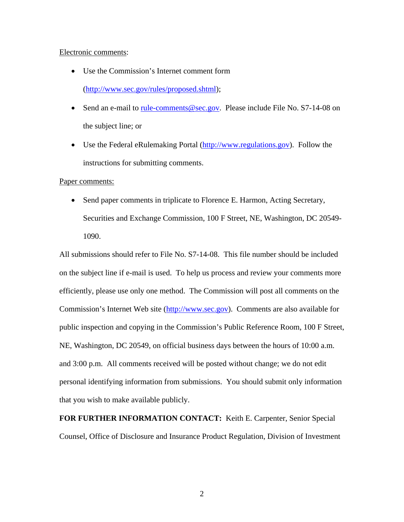### Electronic comments:

- Use the Commission's Internet comment form (http://www.sec.gov/rules/proposed.shtml);
- Send an e-mail to rule-comments@sec.gov. Please include File No. S7-14-08 on the subject line; or
- Use the Federal eRulemaking Portal (http://www.regulations.gov). Follow the instructions for submitting comments.

## Paper comments:

• Send paper comments in triplicate to Florence E. Harmon, Acting Secretary, Securities and Exchange Commission, 100 F Street, NE, Washington, DC 20549- 1090.

All submissions should refer to File No. S7-14-08. This file number should be included on the subject line if e-mail is used. To help us process and review your comments more efficiently, please use only one method. The Commission will post all comments on the Commission's Internet Web site (http://www.sec.gov). Comments are also available for public inspection and copying in the Commission's Public Reference Room, 100 F Street, NE, Washington, DC 20549, on official business days between the hours of 10:00 a.m. and 3:00 p.m. All comments received will be posted without change; we do not edit personal identifying information from submissions. You should submit only information that you wish to make available publicly.

**FOR FURTHER INFORMATION CONTACT:** Keith E. Carpenter, Senior Special Counsel, Office of Disclosure and Insurance Product Regulation, Division of Investment

2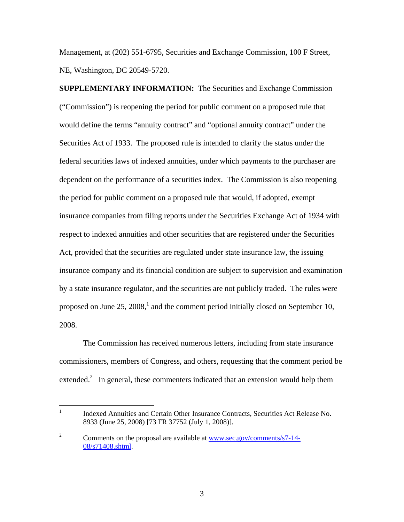Management, at (202) 551-6795, Securities and Exchange Commission, 100 F Street, NE, Washington, DC 20549-5720.

**SUPPLEMENTARY INFORMATION:** The Securities and Exchange Commission ("Commission") is reopening the period for public comment on a proposed rule that would define the terms "annuity contract" and "optional annuity contract" under the Securities Act of 1933. The proposed rule is intended to clarify the status under the federal securities laws of indexed annuities, under which payments to the purchaser are dependent on the performance of a securities index. The Commission is also reopening the period for public comment on a proposed rule that would, if adopted, exempt insurance companies from filing reports under the Securities Exchange Act of 1934 with respect to indexed annuities and other securities that are registered under the Securities Act, provided that the securities are regulated under state insurance law, the issuing insurance company and its financial condition are subject to supervision and examination by a state insurance regulator, and the securities are not publicly traded. The rules were proposed on June 25, 2008,<sup>1</sup> and the comment period initially closed on September 10, 2008.

The Commission has received numerous letters, including from state insurance commissioners, members of Congress, and others, requesting that the comment period be extended.<sup>2</sup> In general, these commenters indicated that an extension would help them

<sup>&</sup>lt;sup>1</sup> Indexed Annuities and Certain Other Insurance Contracts, Securities Act Release No. 8933 (June 25, 2008) [73 FR 37752 (July 1, 2008)].

<sup>&</sup>lt;sup>2</sup> Comments on the proposal are available at www.sec.gov/comments/s7-14-08/s71408.shtml.